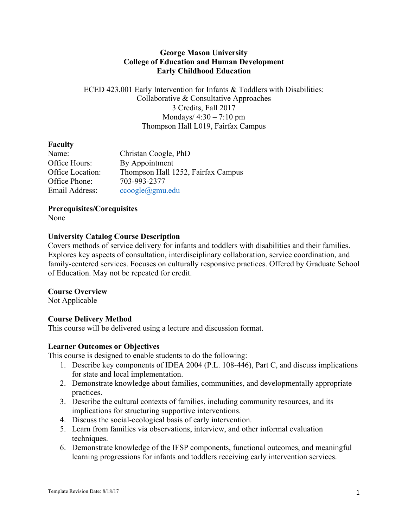## **George Mason University College of Education and Human Development Early Childhood Education**

ECED 423.001 Early Intervention for Infants & Toddlers with Disabilities: Collaborative & Consultative Approaches 3 Credits, Fall 2017 Mondays/  $4:30 - 7:10$  pm Thompson Hall L019, Fairfax Campus

## **Faculty**

| Name:            | Christan Coogle, PhD               |
|------------------|------------------------------------|
| Office Hours:    | By Appointment                     |
| Office Location: | Thompson Hall 1252, Fairfax Campus |
| Office Phone:    | 703-993-2377                       |
| Email Address:   | $ccoogle(\partial gmu.edu)$        |

**Prerequisites/Corequisites**

None

## **University Catalog Course Description**

Covers methods of service delivery for infants and toddlers with disabilities and their families. Explores key aspects of consultation, interdisciplinary collaboration, service coordination, and family-centered services. Focuses on culturally responsive practices. Offered by Graduate School of Education. May not be repeated for credit.

### **Course Overview**

Not Applicable

# **Course Delivery Method**

This course will be delivered using a lecture and discussion format.

### **Learner Outcomes or Objectives**

This course is designed to enable students to do the following:

- 1. Describe key components of IDEA 2004 (P.L. 108-446), Part C, and discuss implications for state and local implementation.
- 2. Demonstrate knowledge about families, communities, and developmentally appropriate practices.
- 3. Describe the cultural contexts of families, including community resources, and its implications for structuring supportive interventions.
- 4. Discuss the social-ecological basis of early intervention.
- 5. Learn from families via observations, interview, and other informal evaluation techniques.
- 6. Demonstrate knowledge of the IFSP components, functional outcomes, and meaningful learning progressions for infants and toddlers receiving early intervention services.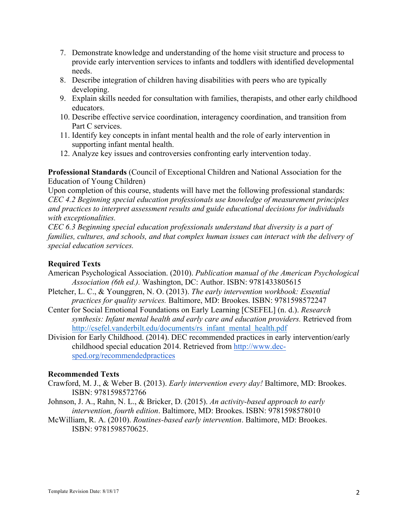- 7. Demonstrate knowledge and understanding of the home visit structure and process to provide early intervention services to infants and toddlers with identified developmental needs.
- 8. Describe integration of children having disabilities with peers who are typically developing.
- 9. Explain skills needed for consultation with families, therapists, and other early childhood educators.
- 10. Describe effective service coordination, interagency coordination, and transition from Part C services.
- 11. Identify key concepts in infant mental health and the role of early intervention in supporting infant mental health.
- 12. Analyze key issues and controversies confronting early intervention today.

**Professional Standards** (Council of Exceptional Children and National Association for the Education of Young Children)

Upon completion of this course, students will have met the following professional standards: *CEC 4.2 Beginning special education professionals use knowledge of measurement principles and practices to interpret assessment results and guide educational decisions for individuals with exceptionalities.*

*CEC 6.3 Beginning special education professionals understand that diversity is a part of families, cultures, and schools, and that complex human issues can interact with the delivery of special education services.* 

## **Required Texts**

- American Psychological Association. (2010). *Publication manual of the American Psychological Association (6th ed.).* Washington, DC: Author. ISBN: 9781433805615
- Pletcher, L. C., & Younggren, N. O. (2013). *The early intervention workbook: Essential practices for quality services.* Baltimore, MD: Brookes. ISBN: 9781598572247
- Center for Social Emotional Foundations on Early Learning [CSEFEL] (n. d.). *Research synthesis: Infant mental health and early care and education providers.* Retrieved from http://csefel.vanderbilt.edu/documents/rs\_infant\_mental\_health.pdf
- Division for Early Childhood. (2014). DEC recommended practices in early intervention/early childhood special education 2014. Retrieved from http://www.decsped.org/recommendedpractices

### **Recommended Texts**

- Crawford, M. J., & Weber B. (2013). *Early intervention every day!* Baltimore, MD: Brookes. ISBN: 9781598572766
- Johnson, J. A., Rahn, N. L., & Bricker, D. (2015). *An activity-based approach to early intervention, fourth edition*. Baltimore, MD: Brookes. ISBN: 9781598578010
- McWilliam, R. A. (2010). *Routines-based early intervention*. Baltimore, MD: Brookes. ISBN: 9781598570625.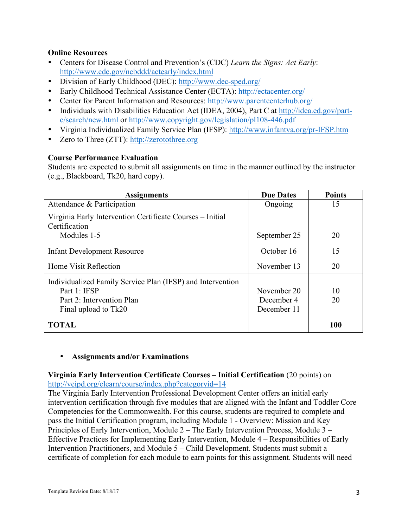## **Online Resources**

- Centers for Disease Control and Prevention's (CDC) *Learn the Signs: Act Early*: http://www.cdc.gov/ncbddd/actearly/index.html
- Division of Early Childhood (DEC): http://www.dec-sped.org/
- Early Childhood Technical Assistance Center (ECTA): http://ectacenter.org/
- Center for Parent Information and Resources: http://www.parentcenterhub.org/
- Individuals with Disabilities Education Act (IDEA, 2004), Part C at http://idea.ed.gov/partc/search/new.html or http://www.copyright.gov/legislation/pl108-446.pdf
- Virginia Individualized Family Service Plan (IFSP): http://www.infantva.org/pr-IFSP.htm
- Zero to Three (ZTT): http://zerotothree.org

## **Course Performance Evaluation**

Students are expected to submit all assignments on time in the manner outlined by the instructor (e.g., Blackboard, Tk20, hard copy).

| <b>Assignments</b>                                                         | <b>Due Dates</b> | <b>Points</b> |
|----------------------------------------------------------------------------|------------------|---------------|
| Attendance & Participation                                                 | Ongoing          | 15            |
| Virginia Early Intervention Certificate Courses – Initial<br>Certification |                  |               |
| Modules 1-5                                                                | September 25     | 20            |
| <b>Infant Development Resource</b>                                         | October 16       | 15            |
| Home Visit Reflection                                                      | November 13      | 20            |
| Individualized Family Service Plan (IFSP) and Intervention                 |                  |               |
| Part 1: IFSP                                                               | November 20      | 10            |
| Part 2: Intervention Plan                                                  | December 4       | 20            |
| Final upload to Tk20                                                       | December 11      |               |
| <b>TOTAL</b>                                                               |                  | 100           |

### • **Assignments and/or Examinations**

## **Virginia Early Intervention Certificate Courses – Initial Certification** (20 points) on http://veipd.org/elearn/course/index.php?categoryid=14

The Virginia Early Intervention Professional Development Center offers an initial early intervention certification through five modules that are aligned with the Infant and Toddler Core Competencies for the Commonwealth. For this course, students are required to complete and pass the Initial Certification program, including Module 1 - Overview: Mission and Key Principles of Early Intervention, Module 2 – The Early Intervention Process, Module 3 – Effective Practices for Implementing Early Intervention, Module 4 – Responsibilities of Early Intervention Practitioners, and Module 5 – Child Development. Students must submit a certificate of completion for each module to earn points for this assignment. Students will need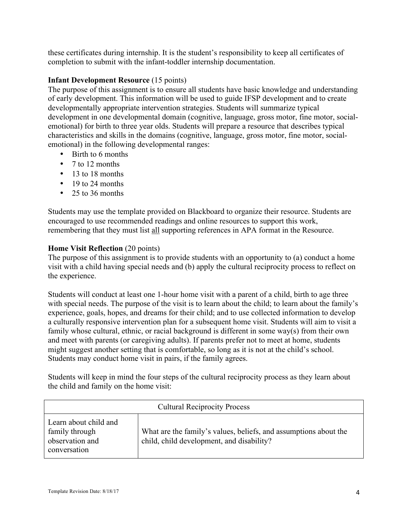these certificates during internship. It is the student's responsibility to keep all certificates of completion to submit with the infant-toddler internship documentation.

# **Infant Development Resource** (15 points)

The purpose of this assignment is to ensure all students have basic knowledge and understanding of early development. This information will be used to guide IFSP development and to create developmentally appropriate intervention strategies. Students will summarize typical development in one developmental domain (cognitive, language, gross motor, fine motor, socialemotional) for birth to three year olds. Students will prepare a resource that describes typical characteristics and skills in the domains (cognitive, language, gross motor, fine motor, socialemotional) in the following developmental ranges:

- Birth to 6 months
- 7 to 12 months
- 13 to 18 months
- 19 to 24 months
- 25 to 36 months

Students may use the template provided on Blackboard to organize their resource. Students are encouraged to use recommended readings and online resources to support this work, remembering that they must list all supporting references in APA format in the Resource.

## **Home Visit Reflection** (20 points)

The purpose of this assignment is to provide students with an opportunity to (a) conduct a home visit with a child having special needs and (b) apply the cultural reciprocity process to reflect on the experience.

Students will conduct at least one 1-hour home visit with a parent of a child, birth to age three with special needs. The purpose of the visit is to learn about the child; to learn about the family's experience, goals, hopes, and dreams for their child; and to use collected information to develop a culturally responsive intervention plan for a subsequent home visit. Students will aim to visit a family whose cultural, ethnic, or racial background is different in some way(s) from their own and meet with parents (or caregiving adults). If parents prefer not to meet at home, students might suggest another setting that is comfortable, so long as it is not at the child's school. Students may conduct home visit in pairs, if the family agrees.

Students will keep in mind the four steps of the cultural reciprocity process as they learn about the child and family on the home visit:

| <b>Cultural Reciprocity Process</b>                                        |                                                                                                               |  |
|----------------------------------------------------------------------------|---------------------------------------------------------------------------------------------------------------|--|
| Learn about child and<br>family through<br>observation and<br>conversation | What are the family's values, beliefs, and assumptions about the<br>child, child development, and disability? |  |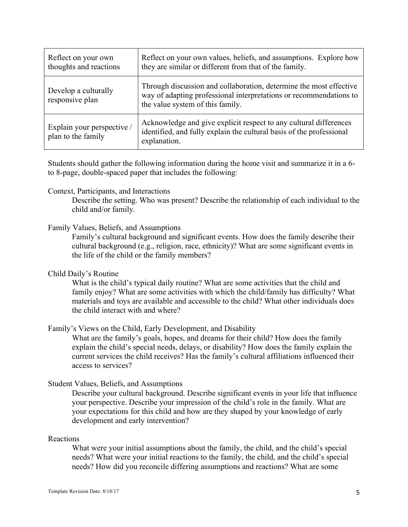| Reflect on your own<br>thoughts and reactions    | Reflect on your own values, beliefs, and assumptions. Explore how<br>they are similar or different from that of the family.                                                  |
|--------------------------------------------------|------------------------------------------------------------------------------------------------------------------------------------------------------------------------------|
| Develop a culturally<br>responsive plan          | Through discussion and collaboration, determine the most effective<br>way of adapting professional interpretations or recommendations to<br>the value system of this family. |
| Explain your perspective /<br>plan to the family | Acknowledge and give explicit respect to any cultural differences<br>identified, and fully explain the cultural basis of the professional<br>explanation.                    |

Students should gather the following information during the home visit and summarize it in a 6 to 8-page, double-spaced paper that includes the following:

#### Context, Participants, and Interactions

Describe the setting. Who was present? Describe the relationship of each individual to the child and/or family.

#### Family Values, Beliefs, and Assumptions

Family's cultural background and significant events. How does the family describe their cultural background (e.g., religion, race, ethnicity)? What are some significant events in the life of the child or the family members?

#### Child Daily's Routine

What is the child's typical daily routine? What are some activities that the child and family enjoy? What are some activities with which the child/family has difficulty? What materials and toys are available and accessible to the child? What other individuals does the child interact with and where?

Family's Views on the Child, Early Development, and Disability

What are the family's goals, hopes, and dreams for their child? How does the family explain the child's special needs, delays, or disability? How does the family explain the current services the child receives? Has the family's cultural affiliations influenced their access to services?

#### Student Values, Beliefs, and Assumptions

Describe your cultural background. Describe significant events in your life that influence your perspective. Describe your impression of the child's role in the family. What are your expectations for this child and how are they shaped by your knowledge of early development and early intervention?

### Reactions

What were your initial assumptions about the family, the child, and the child's special needs? What were your initial reactions to the family, the child, and the child's special needs? How did you reconcile differing assumptions and reactions? What are some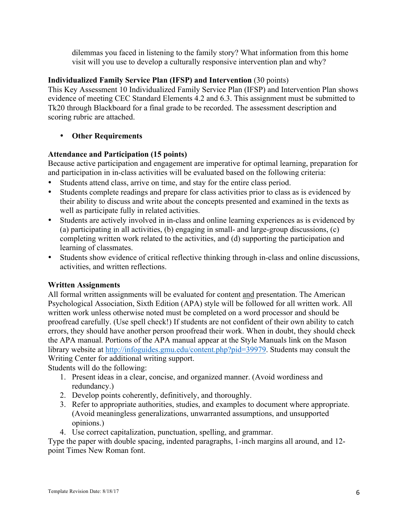dilemmas you faced in listening to the family story? What information from this home visit will you use to develop a culturally responsive intervention plan and why?

# **Individualized Family Service Plan (IFSP) and Intervention** (30 points)

This Key Assessment 10 Individualized Family Service Plan (IFSP) and Intervention Plan shows evidence of meeting CEC Standard Elements 4.2 and 6.3. This assignment must be submitted to Tk20 through Blackboard for a final grade to be recorded. The assessment description and scoring rubric are attached.

# • **Other Requirements**

# **Attendance and Participation (15 points)**

Because active participation and engagement are imperative for optimal learning, preparation for and participation in in-class activities will be evaluated based on the following criteria:

- Students attend class, arrive on time, and stay for the entire class period.
- Students complete readings and prepare for class activities prior to class as is evidenced by their ability to discuss and write about the concepts presented and examined in the texts as well as participate fully in related activities.
- Students are actively involved in in-class and online learning experiences as is evidenced by (a) participating in all activities, (b) engaging in small- and large-group discussions, (c) completing written work related to the activities, and (d) supporting the participation and learning of classmates.
- Students show evidence of critical reflective thinking through in-class and online discussions, activities, and written reflections.

# **Written Assignments**

All formal written assignments will be evaluated for content and presentation. The American Psychological Association, Sixth Edition (APA) style will be followed for all written work. All written work unless otherwise noted must be completed on a word processor and should be proofread carefully. (Use spell check!) If students are not confident of their own ability to catch errors, they should have another person proofread their work. When in doubt, they should check the APA manual. Portions of the APA manual appear at the Style Manuals link on the Mason library website at http://infoguides.gmu.edu/content.php?pid=39979. Students may consult the Writing Center for additional writing support.

Students will do the following:

- 1. Present ideas in a clear, concise, and organized manner. (Avoid wordiness and redundancy.)
- 2. Develop points coherently, definitively, and thoroughly.
- 3. Refer to appropriate authorities, studies, and examples to document where appropriate. (Avoid meaningless generalizations, unwarranted assumptions, and unsupported opinions.)
- 4. Use correct capitalization, punctuation, spelling, and grammar.

Type the paper with double spacing, indented paragraphs, 1-inch margins all around, and 12 point Times New Roman font.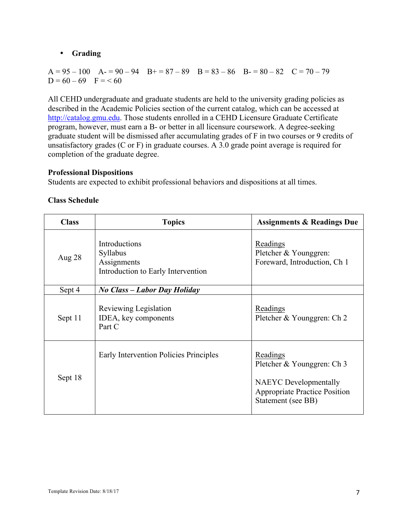# • **Grading**

 $A = 95 - 100$   $A = 90 - 94$   $B = 87 - 89$   $B = 83 - 86$   $B = 80 - 82$   $C = 70 - 79$  $D = 60 - 69$  F = < 60

All CEHD undergraduate and graduate students are held to the university grading policies as described in the Academic Policies section of the current catalog, which can be accessed at http://catalog.gmu.edu. Those students enrolled in a CEHD Licensure Graduate Certificate program, however, must earn a B- or better in all licensure coursework. A degree-seeking graduate student will be dismissed after accumulating grades of F in two courses or 9 credits of unsatisfactory grades (C or F) in graduate courses. A 3.0 grade point average is required for completion of the graduate degree.

## **Professional Dispositions**

Students are expected to exhibit professional behaviors and dispositions at all times.

| <b>Class</b> | <b>Topics</b>                                                                         | <b>Assignments &amp; Readings Due</b>                                                                                                |
|--------------|---------------------------------------------------------------------------------------|--------------------------------------------------------------------------------------------------------------------------------------|
| Aug 28       | Introductions<br><b>Syllabus</b><br>Assignments<br>Introduction to Early Intervention | Readings<br>Pletcher & Younggren:<br>Foreward, Introduction, Ch 1                                                                    |
| Sept 4       | No Class – Labor Day Holiday                                                          |                                                                                                                                      |
| Sept 11      | Reviewing Legislation<br>IDEA, key components<br>Part C                               | Readings<br>Pletcher & Younggren: Ch 2                                                                                               |
| Sept 18      | Early Intervention Policies Principles                                                | Readings<br>Pletcher & Younggren: Ch 3<br><b>NAEYC</b> Developmentally<br><b>Appropriate Practice Position</b><br>Statement (see BB) |

## **Class Schedule**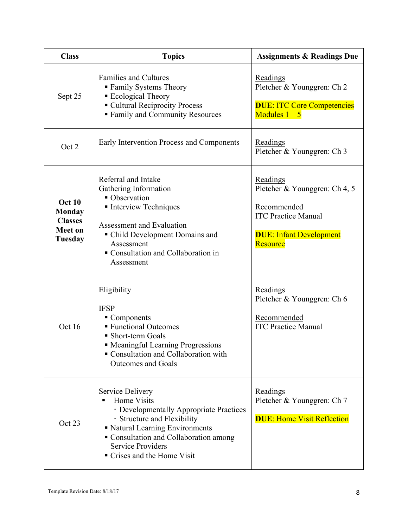| <b>Class</b>                                                                  | <b>Topics</b>                                                                                                                                                                                                                                          | <b>Assignments &amp; Readings Due</b>                                                                                                |
|-------------------------------------------------------------------------------|--------------------------------------------------------------------------------------------------------------------------------------------------------------------------------------------------------------------------------------------------------|--------------------------------------------------------------------------------------------------------------------------------------|
| Sept 25                                                                       | <b>Families and Cultures</b><br>■ Family Systems Theory<br>■ Ecological Theory<br>• Cultural Reciprocity Process<br><b>Family and Community Resources</b>                                                                                              | Readings<br>Pletcher & Younggren: Ch 2<br><b>DUE: ITC Core Competencies</b><br>Modules $1-5$                                         |
| Oct 2                                                                         | Early Intervention Process and Components                                                                                                                                                                                                              | Readings<br>Pletcher & Younggren: Ch 3                                                                                               |
| <b>Oct 10</b><br><b>Monday</b><br><b>Classes</b><br><b>Meet on</b><br>Tuesday | Referral and Intake<br>Gathering Information<br>• Observation<br>• Interview Techniques<br>Assessment and Evaluation<br>• Child Development Domains and<br>Assessment<br>Consultation and Collaboration in<br>Assessment                               | Readings<br>Pletcher & Younggren: Ch 4, 5<br>Recommended<br><b>ITC Practice Manual</b><br><b>DUE: Infant Development</b><br>Resource |
| Oct 16                                                                        | Eligibility<br><b>IFSP</b><br>$\blacksquare$ Components<br>■ Functional Outcomes<br>• Short-term Goals<br>• Meaningful Learning Progressions<br>Consultation and Collaboration with<br><b>Outcomes and Goals</b>                                       | Readings<br>Pletcher & Younggren: Ch 6<br>Recommended<br><b>ITC Practice Manual</b>                                                  |
| Oct 23                                                                        | <b>Service Delivery</b><br>Home Visits<br>· Developmentally Appropriate Practices<br>· Structure and Flexibility<br>• Natural Learning Environments<br>• Consultation and Collaboration among<br><b>Service Providers</b><br>Crises and the Home Visit | Readings<br>Pletcher & Younggren: Ch 7<br><b>DUE: Home Visit Reflection</b>                                                          |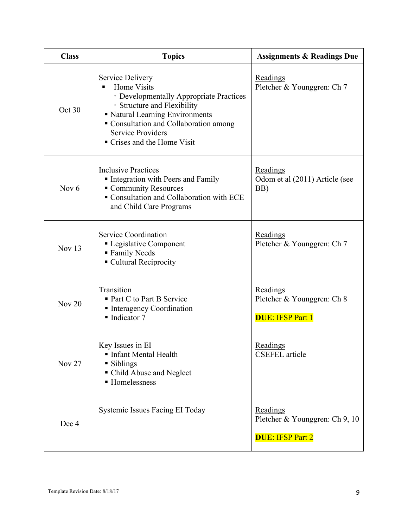| <b>Class</b>  | <b>Topics</b>                                                                                                                                                                                                                                             | <b>Assignments &amp; Readings Due</b>                                 |
|---------------|-----------------------------------------------------------------------------------------------------------------------------------------------------------------------------------------------------------------------------------------------------------|-----------------------------------------------------------------------|
| Oct 30        | <b>Service Delivery</b><br>Home Visits<br>٠<br>· Developmentally Appropriate Practices<br>· Structure and Flexibility<br>Katural Learning Environments<br>Consultation and Collaboration among<br><b>Service Providers</b><br>• Crises and the Home Visit | Readings<br>Pletcher & Younggren: Ch 7                                |
| Nov $6$       | <b>Inclusive Practices</b><br>Integration with Peers and Family<br>Community Resources<br>• Consultation and Collaboration with ECE<br>and Child Care Programs                                                                                            | Readings<br>Odom et al (2011) Article (see<br>BB)                     |
| Nov 13        | Service Coordination<br>• Legislative Component<br>■ Family Needs<br>• Cultural Reciprocity                                                                                                                                                               | Readings<br>Pletcher & Younggren: Ch 7                                |
| Nov $20$      | Transition<br>• Part C to Part B Service<br>Interagency Coordination<br>$\blacksquare$ Indicator 7                                                                                                                                                        | Readings<br>Pletcher & Younggren: Ch 8<br><b>DUE: IFSP Part 1</b>     |
| <b>Nov 27</b> | Key Issues in EI<br>Infant Mental Health<br>• Siblings<br>• Child Abuse and Neglect<br>■ Homelessness                                                                                                                                                     | Readings<br><b>CSEFEL</b> article                                     |
| Dec 4         | Systemic Issues Facing EI Today                                                                                                                                                                                                                           | Readings<br>Pletcher & Younggren: Ch 9, 10<br><b>DUE: IFSP Part 2</b> |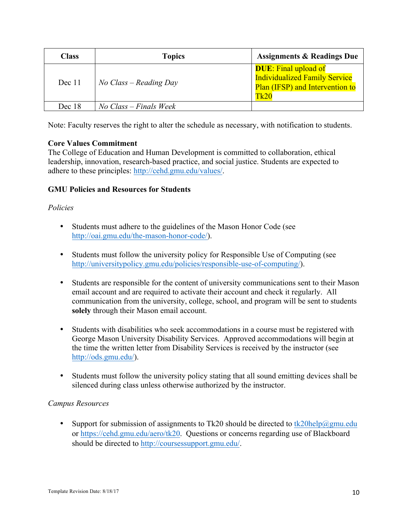| <b>Class</b> | <b>Topics</b>            | <b>Assignments &amp; Readings Due</b>                                                                          |
|--------------|--------------------------|----------------------------------------------------------------------------------------------------------------|
| Dec 11       | $No Class - Reading$ Day | <b>DUE:</b> Final upload of<br><b>Individualized Family Service</b><br>Plan (IFSP) and Intervention to<br>Tk20 |
| Dec 18       | $No Class - Finals Week$ |                                                                                                                |

Note: Faculty reserves the right to alter the schedule as necessary, with notification to students.

## **Core Values Commitment**

The College of Education and Human Development is committed to collaboration, ethical leadership, innovation, research-based practice, and social justice. Students are expected to adhere to these principles: http://cehd.gmu.edu/values/.

## **GMU Policies and Resources for Students**

## *Policies*

- Students must adhere to the guidelines of the Mason Honor Code (see http://oai.gmu.edu/the-mason-honor-code/).
- Students must follow the university policy for Responsible Use of Computing (see http://universitypolicy.gmu.edu/policies/responsible-use-of-computing/).
- Students are responsible for the content of university communications sent to their Mason email account and are required to activate their account and check it regularly. All communication from the university, college, school, and program will be sent to students **solely** through their Mason email account.
- Students with disabilities who seek accommodations in a course must be registered with George Mason University Disability Services. Approved accommodations will begin at the time the written letter from Disability Services is received by the instructor (see http://ods.gmu.edu/).
- Students must follow the university policy stating that all sound emitting devices shall be silenced during class unless otherwise authorized by the instructor.

### *Campus Resources*

• Support for submission of assignments to Tk20 should be directed to  $tk20$ help $@gmu$ .edu or https://cehd.gmu.edu/aero/tk20. Questions or concerns regarding use of Blackboard should be directed to http://coursessupport.gmu.edu/.